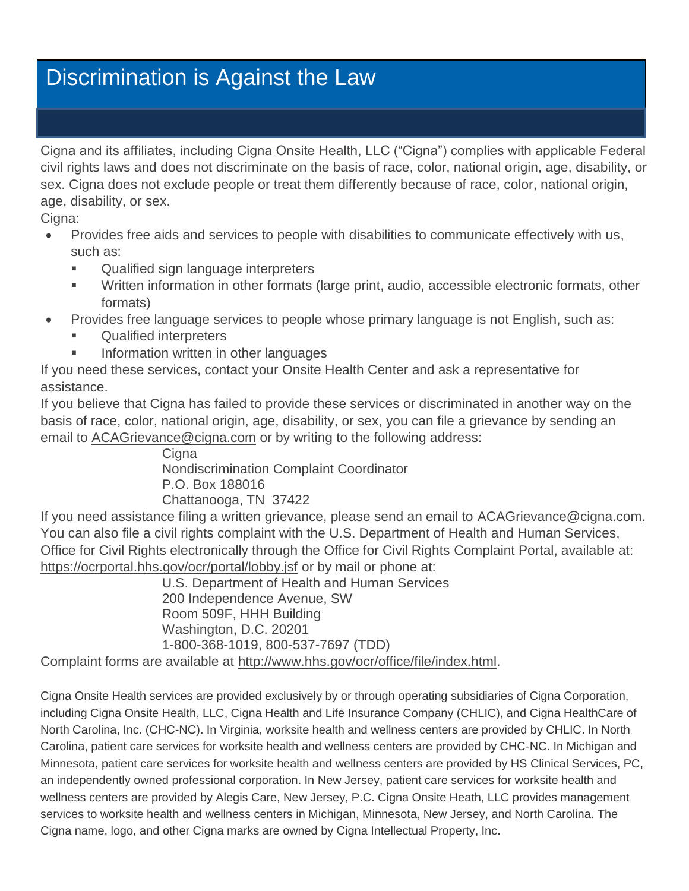# Discrimination is Against the Law

Cigna and its affiliates, including Cigna Onsite Health, LLC ("Cigna") complies with applicable Federal civil rights laws and does not discriminate on the basis of race, color, national origin, age, disability, or sex. Cigna does not exclude people or treat them differently because of race, color, national origin, age, disability, or sex.

Cigna:

- Provides free aids and services to people with disabilities to communicate effectively with us, such as:
	- **EXECUTE:** Qualified sign language interpreters
	- Written information in other formats (large print, audio, accessible electronic formats, other formats)
- Provides free language services to people whose primary language is not English, such as:
	- Qualified interpreters
	- **Information written in other languages**

If you need these services, contact your Onsite Health Center and ask a representative for assistance.

If you believe that Cigna has failed to provide these services or discriminated in another way on the basis of race, color, national origin, age, disability, or sex, you can file a grievance by sending an email to ACAGrievance @cigna.com or by writing to the following address:

Cigna Nondiscrimination Complaint Coordinator P.O. Box 188016 Chattanooga, TN 37422

If you need assistance filing a written grievance, please send an email to [ACAGrievance@cigna.com.](mailto:ACAGrievance@cigna.com) You can also file a civil rights complaint with the U.S. Department of Health and Human Services, Office for Civil Rights electronically through the Office for Civil Rights Complaint Portal, available at: <https://ocrportal.hhs.gov/ocr/portal/lobby.jsf> or by mail or phone at:

U.S. Department of Health and Human Services 200 Independence Avenue, SW Room 509F, HHH Building Washington, D.C. 20201 1-800-368-1019, 800-537-7697 (TDD)

Complaint forms are available at [http://www.hhs.gov/ocr/office/file/index.html.](http://www.hhs.gov/ocr/office/file/index.html)

Cigna Onsite Health services are provided exclusively by or through operating subsidiaries of Cigna Corporation, including Cigna Onsite Health, LLC, Cigna Health and Life Insurance Company (CHLIC), and Cigna HealthCare of North Carolina, Inc. (CHC-NC). In Virginia, worksite health and wellness centers are provided by CHLIC. In North Carolina, patient care services for worksite health and wellness centers are provided by CHC-NC. In Michigan and Minnesota, patient care services for worksite health and wellness centers are provided by HS Clinical Services, PC, an independently owned professional corporation. In New Jersey, patient care services for worksite health and wellness centers are provided by Alegis Care, New Jersey, P.C. Cigna Onsite Heath, LLC provides management services to worksite health and wellness centers in Michigan, Minnesota, New Jersey, and North Carolina. The Cigna name, logo, and other Cigna marks are owned by Cigna Intellectual Property, Inc.